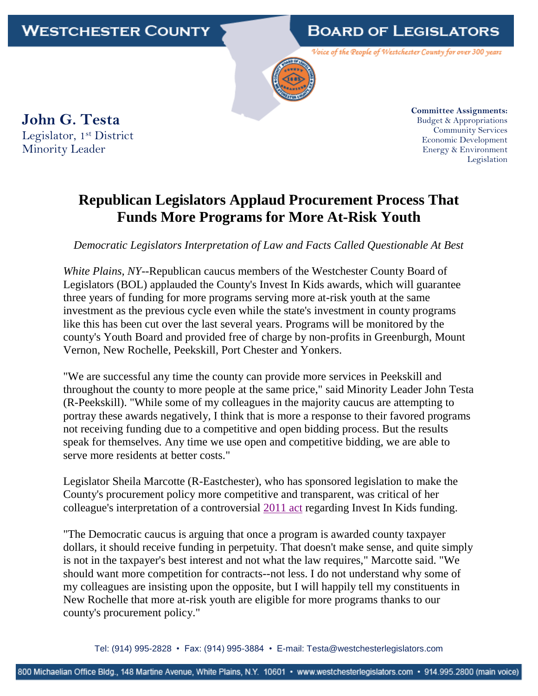**BOARD OF LEGISLATORS** 

Voice of the People of Westchester County for over 300 years

**John G. Testa** Legislator, 1<sup>st</sup> District Minority Leader

**Committee Assignments:** Budget & Appropriations Community Services Economic Development Energy & Environment Legislation

## **Republican Legislators Applaud Procurement Process That Funds More Programs for More At-Risk Youth**

*Democratic Legislators Interpretation of Law and Facts Called Questionable At Best*

*White Plains, NY--*Republican caucus members of the Westchester County Board of Legislators (BOL) applauded the County's Invest In Kids awards, which will guarantee three years of funding for more programs serving more at-risk youth at the same investment as the previous cycle even while the state's investment in county programs like this has been cut over the last several years. Programs will be monitored by the county's Youth Board and provided free of charge by non-profits in Greenburgh, Mount Vernon, New Rochelle, Peekskill, Port Chester and Yonkers.

"We are successful any time the county can provide more services in Peekskill and throughout the county to more people at the same price," said Minority Leader John Testa (R-Peekskill). "While some of my colleagues in the majority caucus are attempting to portray these awards negatively, I think that is more a response to their favored programs not receiving funding due to a competitive and open bidding process. But the results speak for themselves. Any time we use open and competitive bidding, we are able to serve more residents at better costs."

Legislator Sheila Marcotte (R-Eastchester), who has sponsored legislation to make the County's procurement policy more competitive and transparent, was critical of her colleague's interpretation of a controversial [2011 act](http://westchestercountyny.iqm2.com/Citizens/Detail_LegiFile.aspx?ID=4533) regarding Invest In Kids funding.

"The Democratic caucus is arguing that once a program is awarded county taxpayer dollars, it should receive funding in perpetuity. That doesn't make sense, and quite simply is not in the taxpayer's best interest and not what the law requires," Marcotte said. "We should want more competition for contracts--not less. I do not understand why some of my colleagues are insisting upon the opposite, but I will happily tell my constituents in New Rochelle that more at-risk youth are eligible for more programs thanks to our county's procurement policy."

Tel: (914) 995-2828 • Fax: (914) 995-3884 • E-mail: Testa@westchesterlegislators.com